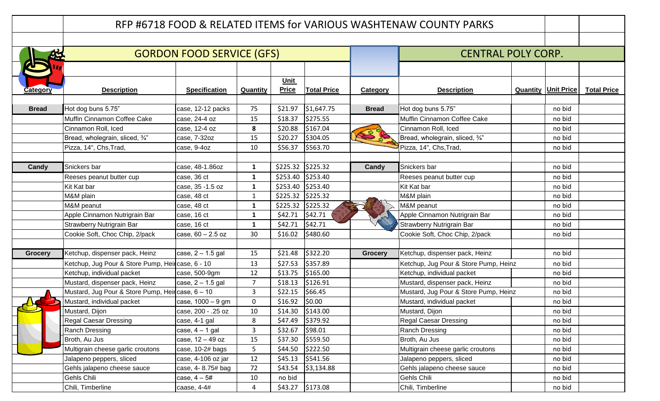|                 |                                                  |                                  |                |                      |                    |                           | RFP #6718 FOOD & RELATED ITEMS for VARIOUS WASHTENAW COUNTY PARKS |                              |                    |
|-----------------|--------------------------------------------------|----------------------------------|----------------|----------------------|--------------------|---------------------------|-------------------------------------------------------------------|------------------------------|--------------------|
|                 |                                                  |                                  |                |                      |                    |                           |                                                                   |                              |                    |
|                 |                                                  | <b>GORDON FOOD SERVICE (GFS)</b> |                |                      |                    | <b>CENTRAL POLY CORP.</b> |                                                                   |                              |                    |
|                 |                                                  |                                  |                |                      |                    |                           |                                                                   |                              |                    |
| <b>Category</b> | <b>Description</b>                               | <b>Specification</b>             | Quantity       | Unit<br><b>Price</b> | <b>Total Price</b> | Category                  | <b>Description</b>                                                | <b>Quantity   Unit Price</b> | <b>Total Price</b> |
| <b>Bread</b>    | Hot dog buns 5.75"                               | case, 12-12 packs                | 75             | \$21.97              | \$1,647.75         | <b>Bread</b>              | Hot dog buns 5.75"                                                | no bid                       |                    |
|                 | Muffin Cinnamon Coffee Cake                      | case, 24-4 oz                    | 15             | \$18.37              | \$275.55           |                           | Muffin Cinnamon Coffee Cake                                       | no bid                       |                    |
|                 | Cinnamon Roll, Iced                              | case, 12-4 oz                    | 8              | \$20.88              | \$167.04           |                           | Cinnamon Roll, Iced                                               | no bid                       |                    |
|                 | Bread, wholegrain, sliced, 3/4"                  | case, 7-32oz                     | 15             | \$20.27              | \$304.05           |                           | Bread, wholegrain, sliced, 3/4"                                   | no bid                       |                    |
|                 | Pizza, 14", Chs, Trad,                           | case, 9-4oz                      | 10             | \$56.37              | \$563.70           |                           | Pizza, 14", Chs, Trad,                                            | no bid                       |                    |
|                 |                                                  |                                  |                |                      |                    |                           |                                                                   |                              |                    |
| Candy           | Snickers bar                                     | case, 48-1.86oz                  | 1              |                      | \$225.32 \$225.32  | Candy                     | Snickers bar                                                      | no bid                       |                    |
|                 | Reeses peanut butter cup                         | case, 36 ct                      | $\mathbf{1}$   |                      | \$253.40 \$253.40  |                           | Reeses peanut butter cup                                          | no bid                       |                    |
|                 | Kit Kat bar                                      | case, 35 - 1.5 oz                | 1              |                      | \$253.40 \$253.40  |                           | Kit Kat bar                                                       | no bid                       |                    |
|                 | M&M plain                                        | case, 48 ct                      | 1              |                      | \$225.32 \$225.32  |                           | M&M plain                                                         | no bid                       |                    |
|                 | M&M peanut                                       | case, 48 ct                      | 1              |                      | \$225.32 \$225.32  |                           | M&M peanut                                                        | no bid                       |                    |
|                 | Apple Cinnamon Nutrigrain Bar                    | case, 16 ct                      | 1              | \$42.71              | \$42.71            |                           | Apple Cinnamon Nutrigrain Bar                                     | no bid                       |                    |
|                 | Strawberry Nutrigrain Bar                        | case, 16 ct                      | $\mathbf{1}$   | \$42.71              | \$42.71            |                           | Strawberry Nutrigrain Bar                                         | no bid                       |                    |
|                 | Cookie Soft, Choc Chip, 2/pack                   | case, $60 - 2.5$ oz              | 30             | \$16.02              | \$480.60           |                           | Cookie Soft, Choc Chip, 2/pack                                    | no bid                       |                    |
|                 |                                                  |                                  |                |                      |                    |                           |                                                                   |                              |                    |
| <b>Grocery</b>  | Ketchup, dispenser pack, Heinz                   | case, $2 - 1.5$ gal              | 15             | \$21.48              | \$322.20           | <b>Grocery</b>            | Ketchup, dispenser pack, Heinz                                    | no bid                       |                    |
|                 | Ketchup, Jug Pour & Store Pump, Heircase, 6 - 10 |                                  | 13             | \$27.53              | \$357.89           |                           | Ketchup, Jug Pour & Store Pump, Heinz                             | no bid                       |                    |
|                 | Ketchup, individual packet                       | case, 500-9gm                    | 12             | \$13.75              | \$165.00           |                           | Ketchup, individual packet                                        | no bid                       |                    |
|                 | Mustard, dispenser pack, Heinz                   | case, $2 - 1.5$ gal              | $\overline{7}$ | \$18.13              | \$126.91           |                           | Mustard, dispenser pack, Heinz                                    | no bid                       |                    |
|                 | Mustard, Jug Pour & Store Pump, Heircase, 6 - 10 |                                  | 3              | \$22.15              | \$66.45            |                           | Mustard, Jug Pour & Store Pump, Heinz                             | no bid                       |                    |
|                 | Mustard, individual packet                       | case, 1000 - 9 gm                | $\mathbf{0}$   | \$16.92              | \$0.00             |                           | Mustard, individual packet                                        | no bid                       |                    |
|                 | Mustard, Dijon                                   | case, 200 - .25 oz               | 10             |                      | $$14.30$ $$143.00$ |                           | Mustard, Dijon                                                    | no bid                       |                    |
|                 | <b>Regal Caesar Dressing</b>                     | case, 4-1 gal                    | 8              | \$47.49              | \$379.92           |                           | <b>Regal Caesar Dressing</b>                                      | no bid                       |                    |
|                 | Ranch Dressing                                   | case, $4 - 1$ gal                | 3              | \$32.67              | \$98.01            |                           | <b>Ranch Dressing</b>                                             | no bid                       |                    |
|                 | Broth, Au Jus                                    | case, 12 - 49 oz                 | 15             | \$37.30              | \$559.50           |                           | Broth, Au Jus                                                     | no bid                       |                    |
|                 | Multigrain cheese garlic croutons                | case, 10-2# bags                 | 5              | \$44.50              | \$222.50           |                           | Multigrain cheese garlic croutons                                 | no bid                       |                    |
|                 | Jalapeno peppers, sliced                         | case, 4-106 oz jar               | 12             | \$45.13              | \$541.56           |                           | Jalapeno peppers, sliced                                          | no bid                       |                    |
|                 | Gehls jalapeno cheese sauce                      | case, 4-8.75# bag                | 72             | \$43.54              | \$3,134.88         |                           | Gehls jalapeno cheese sauce                                       | no bid                       |                    |
|                 | Gehls Chili                                      | case, $4 - 5#$                   | 10             | no bid               |                    |                           | Gehls Chili                                                       | no bid                       |                    |
|                 | Chili, Timberline                                | caase, $4-4#$                    | 4              |                      | $$43.27$ $$173.08$ |                           | Chili, Timberline                                                 | no bid                       |                    |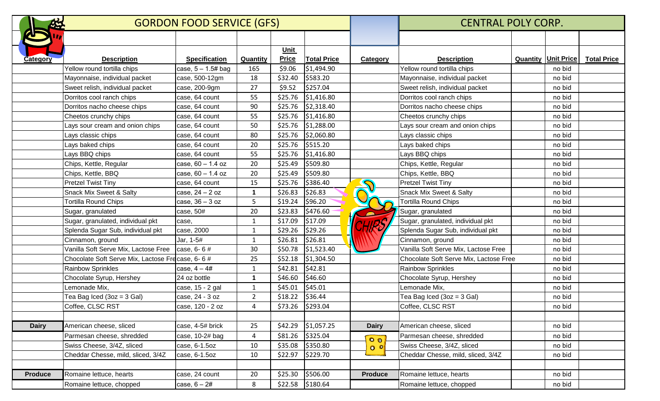|                 | <b>GORDON FOOD SERVICE (GFS)</b>                |                      |                |              |                      |                | <b>CENTRAL POLY CORP.</b>              |                              |                    |  |
|-----------------|-------------------------------------------------|----------------------|----------------|--------------|----------------------|----------------|----------------------------------------|------------------------------|--------------------|--|
|                 |                                                 |                      |                |              |                      |                |                                        |                              |                    |  |
|                 |                                                 |                      |                | Unit         |                      |                |                                        |                              |                    |  |
| <b>Category</b> | <b>Description</b>                              | <b>Specification</b> | Quantity       | <b>Price</b> | <b>Total Price</b>   | Category       | <b>Description</b>                     | <b>Quantity   Unit Price</b> | <b>Total Price</b> |  |
|                 | Yellow round tortilla chips                     | case, $5 - 1.5#$ bag | 165            | \$9.06       | \$1,494.90           |                | Yellow round tortilla chips            | no bid                       |                    |  |
|                 | Mayonnaise, individual packet                   | case, 500-12gm       | 18             | \$32.40      | \$583.20             |                | Mayonnaise, individual packet          | no bid                       |                    |  |
|                 | Sweet relish, individual packet                 | case, 200-9gm        | 27             | \$9.52       | \$257.04             |                | Sweet relish, individual packet        | no bid                       |                    |  |
|                 | Dorritos cool ranch chips                       | case, 64 count       | 55             | \$25.76      | \$1,416.80           |                | Dorritos cool ranch chips              | no bid                       |                    |  |
|                 | Dorritos nacho cheese chips                     | case, 64 count       | 90             | \$25.76      | \$2,318.40           |                | Dorritos nacho cheese chips            | no bid                       |                    |  |
|                 | Cheetos crunchy chips                           | case, 64 count       | 55             | \$25.76      | \$1,416.80           |                | Cheetos crunchy chips                  | no bid                       |                    |  |
|                 | Lays sour cream and onion chips                 | case, 64 count       | 50             | \$25.76      | \$1,288.00           |                | Lays sour cream and onion chips        | no bid                       |                    |  |
|                 | Lays classic chips                              | case, 64 count       | 80             | \$25.76      | \$2,060.80           |                | Lays classic chips                     | no bid                       |                    |  |
|                 | Lays baked chips                                | case, 64 count       | 20             | \$25.76      | \$515.20             |                | Lays baked chips                       | no bid                       |                    |  |
|                 | Lays BBQ chips                                  | case, 64 count       | 55             | \$25.76      | \$1,416.80           |                | Lays BBQ chips                         | no bid                       |                    |  |
|                 | Chips, Kettle, Regular                          | case, 60 - 1.4 oz    | 20             | \$25.49      | \$509.80             |                | Chips, Kettle, Regular                 | no bid                       |                    |  |
|                 | Chips, Kettle, BBQ                              | case, 60 - 1.4 oz    | 20             | \$25.49      | \$509.80             |                | Chips, Kettle, BBQ                     | no bid                       |                    |  |
|                 | <b>Pretzel Twist Tiny</b>                       | case, 64 count       | 15             | \$25.76      | \$386.40             |                | <b>Pretzel Twist Tiny</b>              | no bid                       |                    |  |
|                 | Snack Mix Sweet & Salty                         | case, 24 - 2 oz      | $\mathbf{1}$   | \$26.83      | \$26.83              |                | <b>Snack Mix Sweet &amp; Salty</b>     | no bid                       |                    |  |
|                 | <b>Tortilla Round Chips</b>                     | case, $36 - 3$ oz    | 5              | \$19.24      | \$96.20              |                | <b>Tortilla Round Chips</b>            | no bid                       |                    |  |
|                 | Sugar, granulated                               | case, 50#            | 20             | \$23.83      | \$476.60             |                | Sugar, granulated                      | no bid                       |                    |  |
|                 | Sugar, granulated, individual pkt               | case,                | $\mathbf{1}$   | \$17.09      | \$17.09              |                | Sugar, granulated, individual pkt      | no bid                       |                    |  |
|                 | Splenda Sugar Sub, individual pkt               | case, 2000           | $\mathbf{1}$   | \$29.26      | \$29.26              |                | Splenda Sugar Sub, individual pkt      | no bid                       |                    |  |
|                 | Cinnamon, ground                                | Jar, 1-5#            | $\mathbf{1}$   | \$26.81      | \$26.81              |                | Cinnamon, ground                       | no bid                       |                    |  |
|                 | Vanilla Soft Serve Mix, Lactose Free            | case, $6 - 6$ #      | 30             | \$50.78      | \$1,523.40           |                | Vanilla Soft Serve Mix, Lactose Free   | no bid                       |                    |  |
|                 | Chocolate Soft Serve Mix, Lactose Frecase, 6-6# |                      | 25             | \$52.18      | \$1,304.50           |                | Chocolate Soft Serve Mix, Lactose Free | no bid                       |                    |  |
|                 | <b>Rainbow Sprinkles</b>                        | case, $4 - 4#$       | 1              | \$42.81      | \$42.81              |                | <b>Rainbow Sprinkles</b>               | no bid                       |                    |  |
|                 | Chocolate Syrup, Hershey                        | 24 oz bottle         | 1              | \$46.60      | \$46.60              |                | Chocolate Syrup, Hershey               | no bid                       |                    |  |
|                 | Lemonade Mix,                                   | case, 15 - 2 gal     | $\mathbf{1}$   | \$45.01      | \$45.01              |                | Lemonade Mix,                          | no bid                       |                    |  |
|                 | Tea Bag Iced $(3oz = 3 Gal)$                    | case, 24 - 3 oz      | $\overline{2}$ | \$18.22      | \$36.44              |                | Tea Bag Iced $(3oz = 3 Gal)$           | no bid                       |                    |  |
|                 | Coffee, CLSC RST                                | case, 120 - 2 oz     | 4              |              | \$73.26 \$293.04     |                | Coffee, CLSC RST                       | no bid                       |                    |  |
|                 |                                                 |                      |                |              |                      |                |                                        |                              |                    |  |
| <b>Dairy</b>    | American cheese, sliced                         | case, 4-5# brick     | 25             |              | $$42.29$ $$1,057.25$ | <b>Dairy</b>   | American cheese, sliced                | no bid                       |                    |  |
|                 | Parmesan cheese, shredded                       | case, 10-2# bag      | 4              |              | \$81.26 \$325.04     | $Q_{\theta}$   | Parmesan cheese, shredded              | no bid                       |                    |  |
|                 | Swiss Cheese, 3/4Z, sliced                      | case, 6-1.5oz        | 10             | \$35.08      | \$350.80             | 0 0            | Swiss Cheese, 3/4Z, sliced             | no bid                       |                    |  |
|                 | Cheddar Chesse, mild, sliced, 3/4Z              | case, 6-1.5oz        | 10             | \$22.97      | \$229.70             |                | Cheddar Chesse, mild, sliced, 3/4Z     | no bid                       |                    |  |
|                 |                                                 |                      |                |              |                      |                |                                        |                              |                    |  |
| <b>Produce</b>  | Romaine lettuce, hearts                         | case, 24 count       | 20             | \$25.30      | \$506.00             | <b>Produce</b> | Romaine lettuce, hearts                | no bid                       |                    |  |
|                 | Romaine lettuce, chopped                        | case, $6 - 2#$       | 8              |              | $$22.58$ $$180.64$   |                | Romaine lettuce, chopped               | no bid                       |                    |  |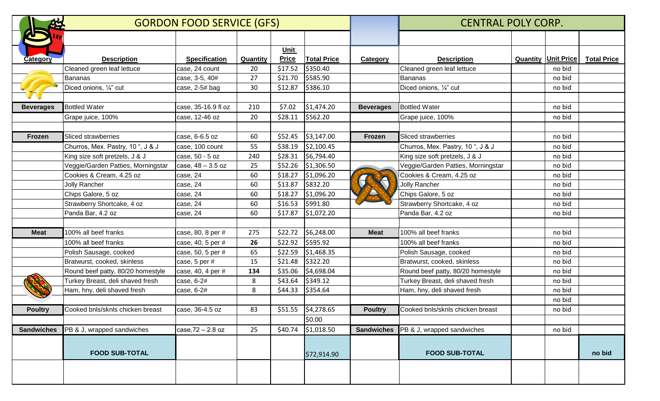|                   | <b>GORDON FOOD SERVICE (GFS)</b>   |                      |          |                      |                     |                   | <b>CENTRAL POLY CORP.</b>             |  |                              |                    |  |
|-------------------|------------------------------------|----------------------|----------|----------------------|---------------------|-------------------|---------------------------------------|--|------------------------------|--------------------|--|
|                   |                                    |                      |          |                      |                     |                   |                                       |  |                              |                    |  |
| Category          | <b>Description</b>                 | <b>Specification</b> | Quantity | Unit<br><b>Price</b> | <b>Total Price</b>  | <b>Category</b>   | <b>Description</b>                    |  | <b>Quantity   Unit Price</b> | <b>Total Price</b> |  |
|                   | Cleaned green leaf lettuce         | case, 24 count       | 20       | \$17.52              | \$350.40            |                   | Cleaned green leaf lettuce            |  | no bid                       |                    |  |
|                   | Bananas                            | case, 3-5, 40#       | 27       | \$21.70              | \$585.90            |                   | Bananas                               |  | no bid                       |                    |  |
|                   | Diced onions, 1/4" cut             | case, 2-5# bag       | 30       | \$12.87              | \$386.10            |                   | Diced onions, 1/4" cut                |  | no bid                       |                    |  |
| <b>Beverages</b>  | <b>Bottled Water</b>               | case, 35-16.9 fl oz  | 210      | \$7.02               | \$1,474.20          | <b>Beverages</b>  | <b>Bottled Water</b>                  |  | no bid                       |                    |  |
|                   | Grape juice, 100%                  | case, 12-46 oz       | 20       | \$28.11              | \$562.20            |                   | Grape juice, 100%                     |  | no bid                       |                    |  |
| Frozen            | <b>Sliced strawberries</b>         | case, 6-6.5 oz       | 60       | \$52.45              | \$3,147.00          | Frozen            | Sliced strawberries                   |  | no bid                       |                    |  |
|                   | Churros, Mex. Pastry, 10 ", J & J  | case, 100 count      | 55       | \$38.19              | \$2,100.45          |                   | Churros, Mex. Pastry, 10 ", J & J     |  | no bid                       |                    |  |
|                   | King size soft pretzels, J & J     | case, 50 - 5 oz      | 240      | \$28.31              | \$6,794.40          |                   | King size soft pretzels, J & J        |  | no bid                       |                    |  |
|                   | Veggie/Garden Patties, Morningstar | $\case, 48 - 3.5$ oz | 25       | \$52.26              | \$1,306.50          |                   | Veggie/Garden Patties, Morningstar    |  | no bid                       |                    |  |
|                   | Cookies & Cream, 4.25 oz           | case, 24             | 60       | \$18.27              | \$1,096.20          |                   | Cookies & Cream, 4.25 oz              |  | no bid                       |                    |  |
|                   | <b>Jolly Rancher</b>               | case, 24             | 60       | \$13.87              | \$832.20            |                   | <b>Jolly Rancher</b>                  |  | no bid                       |                    |  |
|                   | Chips Galore, 5 oz                 | case, 24             | 60       | \$18.27              | \$1,096.20          |                   | Chips Galore, 5 oz                    |  | no bid                       |                    |  |
|                   | Strawberry Shortcake, 4 oz         | case, 24             | 60       | \$16.53              | \$991.80            |                   | Strawberry Shortcake, 4 oz            |  | no bid                       |                    |  |
|                   | Panda Bar, 4.2 oz                  | case, 24             | 60       | \$17.87              | \$1,072.20          |                   | Panda Bar, 4.2 oz                     |  | no bid                       |                    |  |
| <b>Meat</b>       | 100% all beef franks               | case, 80, 8 per #    | 275      | \$22.72              | \$6,248.00          | <b>Meat</b>       | 100% all beef franks                  |  | no bid                       |                    |  |
|                   | 100% all beef franks               | case, 40, 5 per #    | 26       | \$22.92              | \$595.92            |                   | 100% all beef franks                  |  | no bid                       |                    |  |
|                   | Polish Sausage, cooked             | case, 50, 5 per #    | 65       | \$22.59              | \$1,468.35          |                   | Polish Sausage, cooked                |  | no bid                       |                    |  |
|                   | Bratwurst, cooked, skinless        | case, 5 per #        | 15       | \$21.48              | \$322.20            |                   | Bratwurst, cooked, skinless           |  | no bid                       |                    |  |
|                   | Round beef patty, 80/20 homestyle  | case, 40, 4 per #    | 134      | \$35.06              | \$4,698.04          |                   | Round beef patty, 80/20 homestyle     |  | no bid                       |                    |  |
|                   | Turkey Breast, deli shaved fresh   | case, 6-2#           | 8        | \$43.64              | \$349.12            |                   | Turkey Breast, deli shaved fresh      |  | no bid                       |                    |  |
|                   | Ham, hny, deli shaved fresh        | case, 6-2#           | 8        | \$44.33              | \$354.64            |                   | Ham, hny, deli shaved fresh           |  | no bid                       |                    |  |
|                   |                                    |                      |          |                      |                     |                   |                                       |  | no bid                       |                    |  |
| <b>Poultry</b>    | Cooked bnls/sknls chicken breast   | case, 36-4.5 oz      | 83       |                      | $$51.55$ \$4,278.65 | <b>Poultry</b>    | Cooked bnls/sknls chicken breast      |  | no bid                       |                    |  |
|                   |                                    |                      |          |                      | \$0.00              |                   |                                       |  |                              |                    |  |
| <b>Sandwiches</b> | PB & J, wrapped sandwiches         | $case, 72 - 2.8$ oz  | 25       | \$40.74              | \$1,018.50          | <b>Sandwiches</b> | <b>PB &amp; J, wrapped sandwiches</b> |  | no bid                       |                    |  |
|                   | <b>FOOD SUB-TOTAL</b>              |                      |          |                      | \$72,914.90         |                   | <b>FOOD SUB-TOTAL</b>                 |  |                              | no bid             |  |
|                   |                                    |                      |          |                      |                     |                   |                                       |  |                              |                    |  |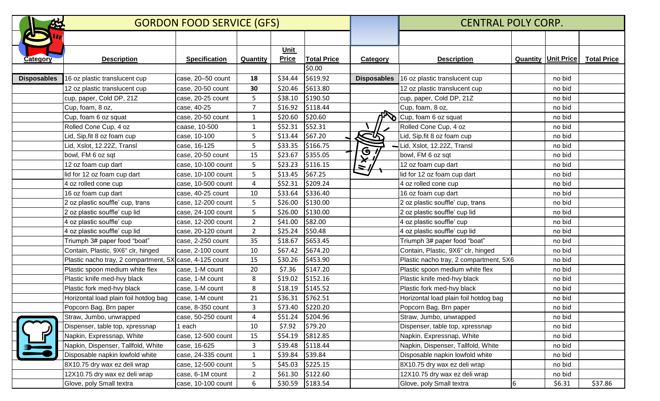| 55                 | <b>GORDON FOOD SERVICE (GFS)</b>                        |                      |                |              |                    | <b>CENTRAL POLY CORP.</b> |                                        |   |                              |                    |
|--------------------|---------------------------------------------------------|----------------------|----------------|--------------|--------------------|---------------------------|----------------------------------------|---|------------------------------|--------------------|
|                    |                                                         |                      |                |              |                    |                           |                                        |   |                              |                    |
|                    |                                                         |                      |                | Unit         |                    |                           |                                        |   |                              |                    |
| <b>Category</b>    | <b>Description</b>                                      | <b>Specification</b> | Quantity       | <b>Price</b> | <b>Total Price</b> | Category                  | <b>Description</b>                     |   | <b>Quantity   Unit Price</b> | <b>Total Price</b> |
|                    |                                                         |                      |                |              | \$0.00             |                           |                                        |   |                              |                    |
| <b>Disposables</b> | 16 oz plastic translucent cup                           | case, 20-50 count    | 18             | \$34.44      | \$619.92           | <b>Disposables</b>        | 16 oz plastic translucent cup          |   | no bid                       |                    |
|                    | 12 oz plastic translucent cup                           | case, 20-50 count    | 30             | \$20.46      | \$613.80           |                           | 12 oz plastic translucent cup          |   | no bid                       |                    |
|                    | cup, paper, Cold DP, 21Z                                | case, 20-25 count    | 5.             | \$38.10      | \$190.50           |                           | cup, paper, Cold DP, 21Z               |   | no bid                       |                    |
|                    | Cup, foam, 8 oz,                                        | case, 40-25          | $\overline{7}$ | \$16.92      | \$118.44           |                           | Cup, foam, 8 oz,                       |   | no bid                       |                    |
|                    | Cup, foam 6 oz squat                                    | case, 20-50 count    | 1              | \$20.60      | \$20.60            |                           | Cup, foam 6 oz squat                   |   | no bid                       |                    |
|                    | Rolled Cone Cup, 4 oz                                   | caase, 10-500        | $\mathbf{1}$   | \$52.31      | \$52.31            |                           | Rolled Cone Cup, 4 oz                  |   | no bid                       |                    |
|                    | Lid, Sip, fit 8 oz foam cup                             | case, 10-100         | 5              | \$13.44      | \$67.20            | لاسما                     | Lid, Sip, fit 8 oz foam cup            |   | no bid                       |                    |
|                    | Lid, Xslot, 12.22Z, Transl                              | case, 16-125         | 5              | \$33.35      | \$166.75           |                           | -Lid, Xslot, 12.22Z, Transl            |   | no bid                       |                    |
|                    | bowl, FM 6 oz sqt                                       | case, 20-50 count    | 15             | \$23.67      | \$355.05           | $\frac{1}{2}$             | bowl, FM 6 oz sqt                      |   | no bid                       |                    |
|                    | 12 oz foam cup dart                                     | case, 10-100 count   | 5              | \$23.23      | \$116.15           | $\overline{\phantom{a}}$  | 12 oz foam cup dart                    |   | no bid                       |                    |
|                    | lid for 12 oz foam cup dart                             | case, 10-100 count   | 5              | \$13.45      | \$67.25            |                           | lid for 12 oz foam cup dart            |   | no bid                       |                    |
|                    | 4 oz rolled cone cup                                    | case, 10-500 count   | 4              | \$52.31      | \$209.24           |                           | 4 oz rolled cone cup                   |   | no bid                       |                    |
|                    | 16 oz foam cup dart                                     | case, 40-25 count    | 10             | \$33.64      | \$336.40           |                           | 16 oz foam cup dart                    |   | no bid                       |                    |
|                    | 2 oz plastic souffle' cup, trans                        | case, 12-200 count   | 5              | \$26.00      | \$130.00           |                           | 2 oz plastic souffle' cup, trans       |   | no bid                       |                    |
|                    | 2 oz plastic souffle' cup lid                           | case, 24-100 count   | 5              | \$26.00      | \$130.00           |                           | 2 oz plastic souffle' cup lid          |   | no bid                       |                    |
|                    | 4 oz plastic souffle' cup                               | case, 12-200 count   | $\overline{2}$ | \$41.00      | \$82.00            |                           | 4 oz plastic souffle' cup              |   | no bid                       |                    |
|                    | 4 oz plastic souffle' cup lid                           | case, 20-120 count   | $\overline{2}$ | \$25.24      | \$50.48            |                           | 4 oz plastic souffle' cup lid          |   | no bid                       |                    |
|                    | Triumph 3# paper food "boat"                            | case, 2-250 count    | 35             | \$18.67      | \$653.45           |                           | Triumph 3# paper food "boat"           |   | no bid                       |                    |
|                    | Contain, Plastic, 9X6" clr, hinged                      | case, 2-100 count    | 10             | \$67.42      | \$674.20           |                           | Contain, Plastic, 9X6" clr, hinged     |   | no bid                       |                    |
|                    | Plastic nacho tray, 2 compartment, 5X case, 4-125 count |                      | 15             | \$30.26      | \$453.90           |                           | Plastic nacho tray, 2 compartment, 5X6 |   | no bid                       |                    |
|                    | Plastic spoon medium white flex                         | case, 1-M count      | 20             | \$7.36       | \$147.20           |                           | Plastic spoon medium white flex        |   | no bid                       |                    |
|                    | Plastic knife med-hvy black                             | case, 1-M count      | 8              | \$19.02      | \$152.16           |                           | Plastic knife med-hvy black            |   | no bid                       |                    |
|                    | Plastic fork med-hvy black                              | case, 1-M count      | 8              | \$18.19      | \$145.52           |                           | Plastic fork med-hvy black             |   | no bid                       |                    |
|                    | Horizontal load plain foil hotdog bag                   | case, 1-M count      | 21             | \$36.31      | \$762.51           |                           | Horizontal load plain foil hotdog bag  |   | no bid                       |                    |
|                    | Popcorn Bag, Brn paper                                  | case, 8-350 count    | 3              |              | \$73.40 \$220.20   |                           | Popcorn Bag, Brn paper                 |   | no bid                       |                    |
|                    | Straw, Jumbo, unwrapped                                 | case, 50-250 count   | 4              |              | \$51.24 \$204.96   |                           | Straw, Jumbo, unwrapped                |   | no bid                       |                    |
|                    | Dispenser, table top, xpressnap                         | each                 | 10             | \$7.92       | \$79.20            |                           | Dispenser, table top, xpressnap        |   | no bid                       |                    |
| H                  | Napkin, Expressnap, White                               | case, 12-500 count   | 15             |              | $$54.19$ $$812.85$ |                           | Napkin, Expressnap, White              |   | no bid                       |                    |
|                    | Napkin, Dispenser, Tallfold, White                      | case, 16-625         | 3              | \$39.48      | \$118.44           |                           | Napkin, Dispenser, Tallfold, White     |   | no bid                       |                    |
|                    | Disposable napkin lowfold white                         | case, 24-335 count   | 1              | \$39.84      | \$39.84            |                           | Disposable napkin lowfold white        |   | no bid                       |                    |
|                    | 8X10.75 dry wax ez deli wrap                            | case, 12-500 count   | 5              | \$45.03      | \$225.15           |                           | 8X10.75 dry wax ez deli wrap           |   | no bid                       |                    |
|                    | 12X10.75 dry wax ez deli wrap                           | case, 6-1M count     | $\overline{2}$ | \$61.30      | \$122.60           |                           | 12X10.75 dry wax ez deli wrap          |   | no bid                       |                    |
|                    | Glove, poly Small textra                                | case, 10-100 count   | 6              |              | $$30.59$ $$183.54$ |                           | Glove, poly Small textra               | 6 | \$6.31                       | \$37.86            |